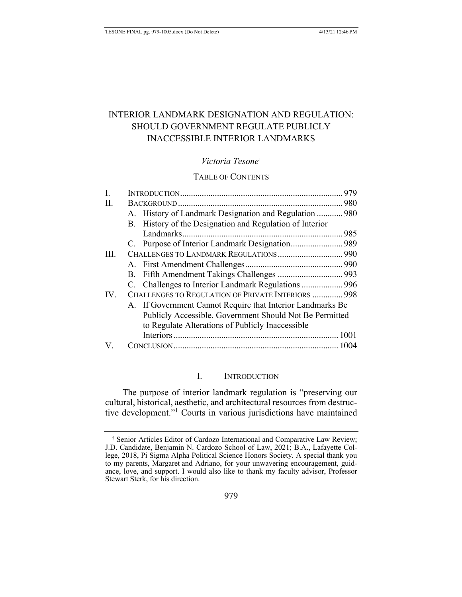# **INTERIOR LANDMARK DESIGNATION AND REGULATION:** SHOULD GOVERNMENT REGULATE PUBLICLY **INACCESSIBLE INTERIOR LANDMARKS**

### Victoria Tesone<sup>t</sup>

# **TABLE OF CONTENTS**

| I.  |                                                            |                                                          |  |
|-----|------------------------------------------------------------|----------------------------------------------------------|--|
| II. |                                                            |                                                          |  |
|     |                                                            | A. History of Landmark Designation and Regulation  980   |  |
|     |                                                            | B. History of the Designation and Regulation of Interior |  |
|     |                                                            |                                                          |  |
|     |                                                            |                                                          |  |
| HI. |                                                            |                                                          |  |
|     |                                                            |                                                          |  |
|     |                                                            |                                                          |  |
|     |                                                            |                                                          |  |
| IV. | CHALLENGES TO REGULATION OF PRIVATE INTERIORS  998         |                                                          |  |
|     | A. If Government Cannot Require that Interior Landmarks Be |                                                          |  |
|     | Publicly Accessible, Government Should Not Be Permitted    |                                                          |  |
|     |                                                            | to Regulate Alterations of Publicly Inaccessible         |  |
|     |                                                            |                                                          |  |
| V.  |                                                            |                                                          |  |
|     |                                                            |                                                          |  |

#### I. **INTRODUCTION**

The purpose of interior landmark regulation is "preserving our cultural, historical, aesthetic, and architectural resources from destructive development."<sup>1</sup> Courts in various jurisdictions have maintained

<sup>&</sup>lt;sup>†</sup> Senior Articles Editor of Cardozo International and Comparative Law Review; J.D. Candidate, Benjamin N. Cardozo School of Law, 2021; B.A., Lafayette College, 2018, Pi Sigma Alpha Political Science Honors Society. A special thank you to my parents, Margaret and Adriano, for your unwavering encouragement, guidance, love, and support. I would also like to thank my faculty advisor, Professor Stewart Sterk, for his direction.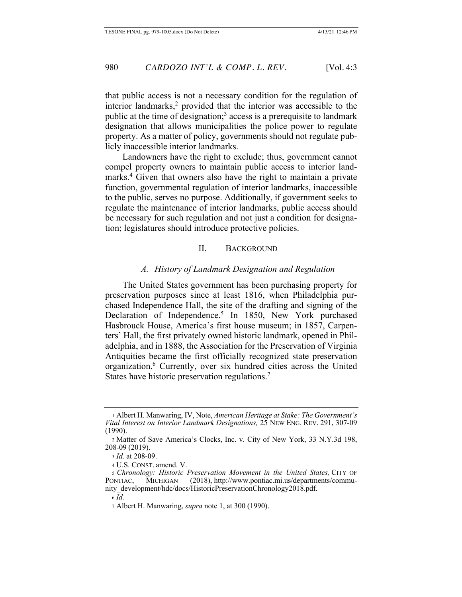that public access is not a necessary condition for the regulation of interior landmarks,<sup>2</sup> provided that the interior was accessible to the public at the time of designation;<sup>3</sup> access is a prerequisite to landmark designation that allows municipalities the police power to regulate property. As a matter of policy, governments should not regulate publicly inaccessible interior landmarks.

Landowners have the right to exclude; thus, government cannot compel property owners to maintain public access to interior landmarks.<sup>4</sup> Given that owners also have the right to maintain a private function, governmental regulation of interior landmarks, inaccessible to the public, serves no purpose. Additionally, if government seeks to regulate the maintenance of interior landmarks, public access should be necessary for such regulation and not just a condition for designation; legislatures should introduce protective policies.

# II. BACKGROUND

#### A. History of Landmark Designation and Regulation

The United States government has been purchasing property for preservation purposes since at least 1816, when Philadelphia purchased Independence Hall, the site of the drafting and signing of the Declaration of Independence.<sup>5</sup> In 1850, New York purchased Hasbrouck House, America's first house museum; in 1857, Carpenters' Hall, the first privately owned historic landmark, opened in Philadelphia, and in 1888, the Association for the Preservation of Virginia Antiquities became the first officially recognized state preservation organization.<sup>6</sup> Currently, over six hundred cities across the United States have historic preservation regulations.<sup>7</sup>

<sup>1</sup> Albert H. Manwaring, IV, Note, American Heritage at Stake: The Government's Vital Interest on Interior Landmark Designations, 25 New Eng. Rev. 291, 307-09  $(1990).$ 

<sup>2</sup> Matter of Save America's Clocks, Inc. v. City of New York, 33 N.Y.3d 198, 208-09 (2019).

<sup>&</sup>lt;sup>3</sup> *Id.* at 208-09.

<sup>4</sup> U.S. CONST. amend. V.

*s Chronology: Historic Preservation Movement in the United States, CITY OF* PONTIAC, MICHIGAN (2018), http://www.pontiac.mi.us/departments/community\_development/hdc/docs/HistoricPreservationChronology2018.pdf.

*<sup>+</sup>*

<sup>7</sup> Albert H. Manwaring, *supra* note 1, at 300 (1990).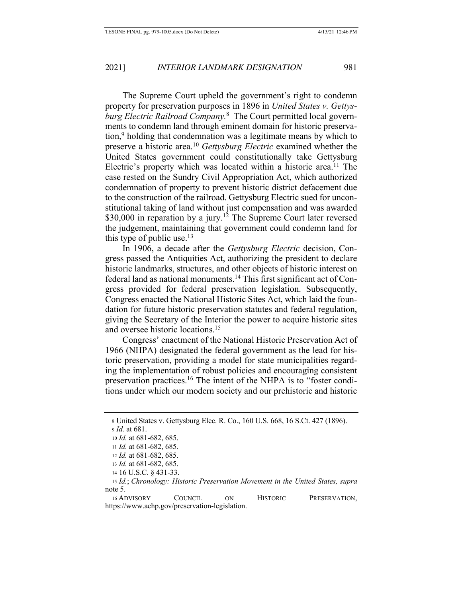The Supreme Court upheld the government's right to condemn property for preservation purposes in 1896 in United States v. Gettysburg Electric Railroad Company.<sup>8</sup> The Court permitted local governments to condemn land through eminent domain for historic preservation,<sup>9</sup> holding that condemnation was a legitimate means by which to preserve a historic area.<sup>10</sup> Gettysburg Electric examined whether the United States government could constitutionally take Gettysburg Electric's property which was located within a historic area.<sup>11</sup> The case rested on the Sundry Civil Appropriation Act, which authorized condemnation of property to prevent historic district defacement due to the construction of the railroad. Gettysburg Electric sued for unconstitutional taking of land without just compensation and was awarded \$30,000 in reparation by a jury.<sup>12</sup> The Supreme Court later reversed the judgement, maintaining that government could condemn land for this type of public use. $^{13}$ 

In 1906, a decade after the Gettysburg Electric decision, Congress passed the Antiquities Act, authorizing the president to declare historic landmarks, structures, and other objects of historic interest on federal land as national monuments.<sup>14</sup> This first significant act of Congress provided for federal preservation legislation. Subsequently, Congress enacted the National Historic Sites Act, which laid the foundation for future historic preservation statutes and federal regulation, giving the Secretary of the Interior the power to acquire historic sites and oversee historic locations.<sup>15</sup>

Congress' enactment of the National Historic Preservation Act of 1966 (NHPA) designated the federal government as the lead for historic preservation, providing a model for state municipalities regarding the implementation of robust policies and encouraging consistent preservation practices.<sup>16</sup> The intent of the NHPA is to "foster conditions under which our modern society and our prehistoric and historic

16 ADVISORY **COUNCIL** ON **HISTORIC** PRESERVATION, https://www.achp.gov/preservation-legislation.

<sup>8</sup> United States v. Gettysburg Elec. R. Co., 160 U.S. 668, 16 S.Ct. 427 (1896).  $9$  *Id.* at 681.

<sup>10</sup> Id. at 681-682, 685.

<sup>11</sup> *Id.* at 681-682, 685.

<sup>12</sup> Id. at 681-682, 685.

<sup>13</sup> *Id.* at  $681-682, 685$ .

<sup>14 16</sup> U.S.C. § 431-33.

<sup>15</sup> Id.; Chronology: Historic Preservation Movement in the United States, supra note 5.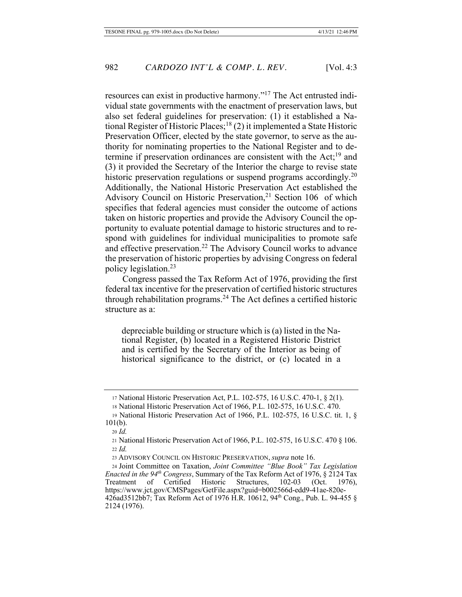resources can exist in productive harmony."<sup>17</sup> The Act entrusted individual state governments with the enactment of preservation laws, but also set federal guidelines for preservation: (1) it established a National Register of Historic Places;<sup>18</sup> (2) it implemented a State Historic Preservation Officer, elected by the state governor, to serve as the authority for nominating properties to the National Register and to determine if preservation ordinances are consistent with the  $Act<sub>1</sub><sup>19</sup>$  and (3) it provided the Secretary of the Interior the charge to revise state historic preservation regulations or suspend programs accordingly.<sup>20</sup> Additionally, the National Historic Preservation Act established the Advisory Council on Historic Preservation,<sup>21</sup> Section 106 of which specifies that federal agencies must consider the outcome of actions taken on historic properties and provide the Advisory Council the opportunity to evaluate potential damage to historic structures and to respond with guidelines for individual municipalities to promote safe and effective preservation.<sup>22</sup> The Advisory Council works to advance the preservation of historic properties by advising Congress on federal policy legislation. $23$ 

Congress passed the Tax Reform Act of 1976, providing the first federal tax incentive for the preservation of certified historic structures through rehabilitation programs.<sup>24</sup> The Act defines a certified historic structure as a:

depreciable building or structure which is (a) listed in the National Register, (b) located in a Registered Historic District and is certified by the Secretary of the Interior as being of historical significance to the district, or (c) located in a

<sup>17</sup> National Historic Preservation Act, P.L. 102-575, 16 U.S.C. 470-1,  $\S$  2(1).

<sup>18</sup> National Historic Preservation Act of 1966, P.L. 102-575, 16 U.S.C. 470.

<sup>19</sup> National Historic Preservation Act of 1966, P.L. 102-575, 16 U.S.C. tit. 1,  $\S$  $101(b)$ .

<sup>20</sup> *Id.* 

<sup>21</sup> National Historic Preservation Act of 1966, P.L. 102-575, 16 U.S.C. 470  $\S$  106.  $22$  *Id.* 

<sup>23</sup> ADVISORY COUNCIL ON HISTORIC PRESERVATION, *supra* note 16.

<sup>24</sup> Joint Committee on Taxation, Joint Committee "Blue Book" Tax Legislation *Enacted in the 94<sup>th</sup> Congress*, Summary of the Tax Reform Act of 1976,  $\S$  2124 Tax Treatment of Certified Historic Structures, 102-03 (Oct. 1976), https://www.jct.gov/CMSPages/GetFile.aspx?guid=b002566d-edd9-41ae-820e- $42\overline{6}$ ad $3512\overline{b}$ 7; Tax Reform Act of 1976 H.R. 10612, 94<sup>th</sup> Cong., Pub. L. 94-455 § 2124 (1976).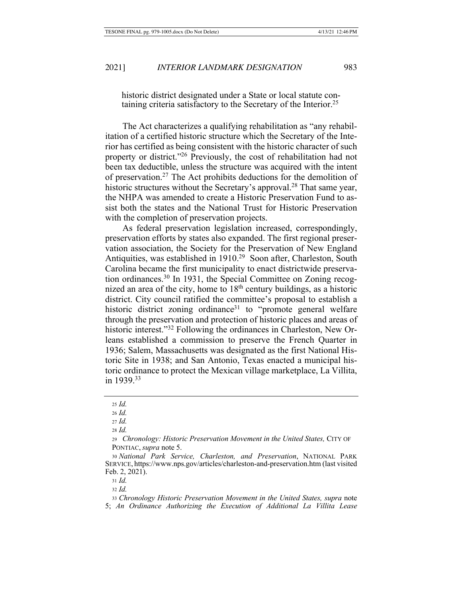historic district designated under a State or local statute containing criteria satisfactory to the Secretary of the Interior.<sup>25</sup>

The Act characterizes a qualifying rehabilitation as "any rehabilitation of a certified historic structure which the Secretary of the Interior has certified as being consistent with the historic character of such property or district."<sup>26</sup> Previously, the cost of rehabilitation had not been tax deductible, unless the structure was acquired with the intent of preservation.<sup>27</sup> The Act prohibits deductions for the demolition of historic structures without the Secretary's approval.<sup>28</sup> That same year, the NHPA was amended to create a Historic Preservation Fund to assist both the states and the National Trust for Historic Preservation with the completion of preservation projects.

As federal preservation legislation increased, correspondingly, preservation efforts by states also expanded. The first regional preservation association, the Society for the Preservation of New England Antiquities, was established in 1910.<sup>29</sup> Soon after, Charleston, South Carolina became the first municipality to enact districtwide preservation ordinances.<sup>30</sup> In 1931, the Special Committee on Zoning recognized an area of the city, home to  $18<sup>th</sup>$  century buildings, as a historic district. City council ratified the committee's proposal to establish a historic district zoning ordinance<sup>31</sup> to "promote general welfare" through the preservation and protection of historic places and areas of historic interest."<sup>32</sup> Following the ordinances in Charleston, New Orleans established a commission to preserve the French Quarter in 1936; Salem, Massachusetts was designated as the first National Historic Site in 1938; and San Antonio, Texas enacted a municipal historic ordinance to protect the Mexican village marketplace, La Villita, in 1939.<sup>33</sup>

33 Chronology Historic Preservation Movement in the United States, supra note 5; An Ordinance Authorizing the Execution of Additional La Villita Lease

<sup>25</sup> *Id.* 

 $26$  *Id.* 

 $_{27}$  *Id.* 

<sup>28</sup> *Id.* 

<sup>29</sup> Chronology: Historic Preservation Movement in the United States, CITY OF PONTIAC, *supra* note 5.

<sup>30</sup> National Park Service, Charleston, and Preservation, NATIONAL PARK SERVICE, https://www.nps.gov/articles/charleston-and-preservation.htm (last visited Feb. 2, 2021).

 $_{31}$  *Id.* 

<sup>32</sup> *Id.*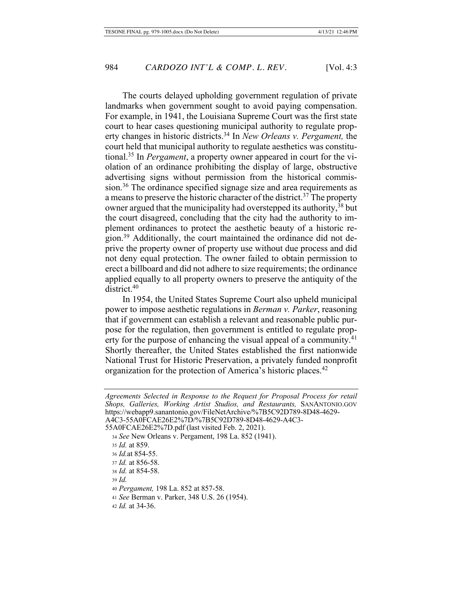The courts delayed upholding government regulation of private landmarks when government sought to avoid paying compensation. For example, in 1941, the Louisiana Supreme Court was the first state court to hear cases questioning municipal authority to regulate property changes in historic districts.<sup>34</sup> In New Orleans v. Pergament, the court held that municipal authority to regulate aesthetics was constitutional.<sup>35</sup> In *Pergament*, a property owner appeared in court for the violation of an ordinance prohibiting the display of large, obstructive advertising signs without permission from the historical commission.<sup>36</sup> The ordinance specified signage size and area requirements as a means to preserve the historic character of the district.<sup>37</sup> The property owner argued that the municipality had overstepped its authority,<sup>38</sup> but the court disagreed, concluding that the city had the authority to implement ordinances to protect the aesthetic beauty of a historic region.<sup>39</sup> Additionally, the court maintained the ordinance did not deprive the property owner of property use without due process and did not deny equal protection. The owner failed to obtain permission to erect a billboard and did not adhere to size requirements; the ordinance applied equally to all property owners to preserve the antiquity of the district.<sup>40</sup>

In 1954, the United States Supreme Court also upheld municipal power to impose aesthetic regulations in *Berman v. Parker*, reasoning that if government can establish a relevant and reasonable public purpose for the regulation, then government is entitled to regulate property for the purpose of enhancing the visual appeal of a community.<sup>41</sup> Shortly thereafter, the United States established the first nationwide National Trust for Historic Preservation, a privately funded nonprofit organization for the protection of America's historic places.<sup>42</sup>

```
Agreements Selected in Response to the Request for Proposal Process for retail
Shops, Galleries, Working Artist Studios, and Restaurants, SANANTONIO.GOV
https://webapp9.sanantonio.gov/FileNetArchive/%7B5C92D789-8D48-4629-
A4C3-55A0FCAE26E2%7D/%7B5C92D789-8D48-4629-A4C3-
55A0FCAE26E2%7D.pdf (last visited Feb. 2, 2021).
  34 See New Orleans v. Pergament, 198 La. 852 (1941).
  35 Id. at 859.
  36 Id. at 854-55.
  37 Id. at 856-58.
  38 Id. at 854-58.
  \frac{39}{d}40 Pergament, 198 La. 852 at 857-58.
  41 See Berman v. Parker, 348 U.S. 26 (1954).
  42 Id. at 34-36.
```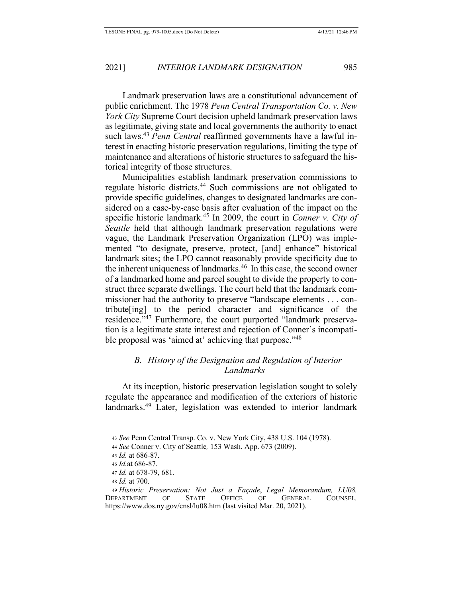Landmark preservation laws are a constitutional advancement of public enrichment. The 1978 Penn Central Transportation Co. v. New *York City* Supreme Court decision upheld landmark preservation laws as legitimate, giving state and local governments the authority to enact such laws.<sup>43</sup> Penn Central reaffirmed governments have a lawful interest in enacting historic preservation regulations, limiting the type of maintenance and alterations of historic structures to safeguard the historical integrity of those structures.

Municipalities establish landmark preservation commissions to regulate historic districts.<sup>44</sup> Such commissions are not obligated to provide specific guidelines, changes to designated landmarks are considered on a case-by-case basis after evaluation of the impact on the specific historic landmark.<sup>45</sup> In 2009, the court in *Conner v. City of* Seattle held that although landmark preservation regulations were vague, the Landmark Preservation Organization (LPO) was implemented "to designate, preserve, protect, [and] enhance" historical landmark sites; the LPO cannot reasonably provide specificity due to the inherent uniqueness of landmarks.<sup>46</sup> In this case, the second owner of a landmarked home and parcel sought to divide the property to construct three separate dwellings. The court held that the landmark commissioner had the authority to preserve "landscape elements . . . contribute[ing] to the period character and significance of the residence."<sup>47</sup> Furthermore, the court purported "landmark preservation is a legitimate state interest and rejection of Conner's incompatible proposal was 'aimed at' achieving that purpose."<sup>48</sup>

# B. History of the Designation and Regulation of Interior Landmarks

At its inception, historic preservation legislation sought to solely regulate the appearance and modification of the exteriors of historic landmarks.<sup>49</sup> Later, legislation was extended to interior landmark

<sup>43</sup> See Penn Central Transp. Co. v. New York City, 438 U.S. 104 (1978).

<sup>44</sup> See Conner v. City of Seattle, 153 Wash. App. 673 (2009).

<sup>45</sup> Id. at 686-87.

<sup>46</sup> *Id.* at 686-87.

<sup>47</sup> Id. at 678-79, 681.

<sup>48</sup> *Id.* at 700.

<sup>49</sup> Historic Preservation: Not Just a Façade, Legal Memorandum, LU08, DEPARTMENT OF **STATE OFFICE**  $OF$ **GENERAL** COUNSEL, https://www.dos.ny.gov/cnsl/lu08.htm (last visited Mar. 20, 2021).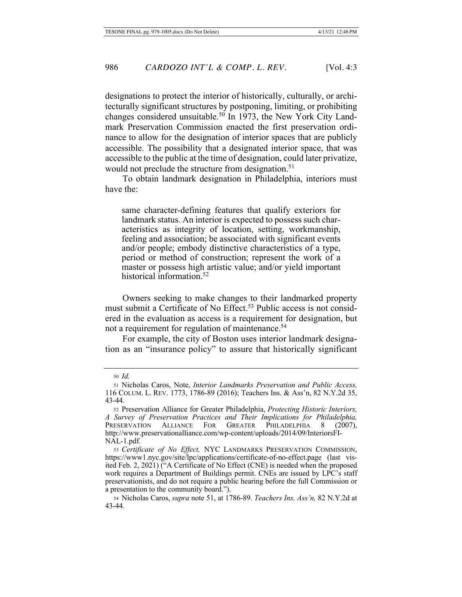designations to protect the interior of historically, culturally, or architecturally significant structures by postponing, limiting, or prohibiting changes considered unsuitable.<sup>50</sup> In 1973, the New York City Landmark Preservation Commission enacted the first preservation ordinance to allow for the designation of interior spaces that are publicly accessible. The possibility that a designated interior space, that was accessible to the public at the time of designation, could later privatize, would not preclude the structure from designation.<sup>51</sup>

To obtain landmark designation in Philadelphia, interiors must have the:

same character-defining features that qualify exteriors for landmark status. An interior is expected to possess such characteristics as integrity of location, setting, workmanship, feeling and association; be associated with significant events and/or people; embody distinctive characteristics of a type, period or method of construction; represent the work of a master or possess high artistic value; and/or yield important historical information.<sup>52</sup>

Owners seeking to make changes to their landmarked property must submit a Certificate of No Effect.<sup>53</sup> Public access is not considered in the evaluation as access is a requirement for designation, but not a requirement for regulation of maintenance.<sup>54</sup>

For example, the city of Boston uses interior landmark designation as an "insurance policy" to assure that historically significant

<sup>50</sup> *Id.* 

<sup>51</sup> Nicholas Caros, Note, Interior Landmarks Preservation and Public Access, 116 COLUM. L. REV. 1773, 1786-89 (2016); Teachers Ins. & Ass'n, 82 N.Y.2d 35,  $43 - 44.$ 

<sup>52</sup> Preservation Alliance for Greater Philadelphia, Protecting Historic Interiors, *A Survey of Preservation Practices and Their Implications for Philadelphia,*<br>PRESERVATION ALLIANCE FOR GREATER PHILADELPHIA 8 (2007), ALLIANCE FOR GREATER PHILADELPHIA 8 (2007), http://www.preservationalliance.com/wp-content/uploads/2014/09/InteriorsFI-NAL-1.pdf.

<sup>53</sup> Certificate of No Effect, NYC LANDMARKS PRESERVATION COMMISSION, https://www1.nyc.gov/site/lpc/applications/certificate-of-no-effect.page (last visited Feb. 2, 2021) ("A Certificate of No Effect (CNE) is needed when the proposed work requires a Department of Buildings permit. CNEs are issued by LPC's staff preservationists, and do not require a public hearing before the full Commission or a presentation to the community board.").

<sup>54</sup> Nicholas Caros, *supra* note 51, at 1786-89. Teachers Ins. Ass'n, 82 N.Y.2d at  $43 - 44.$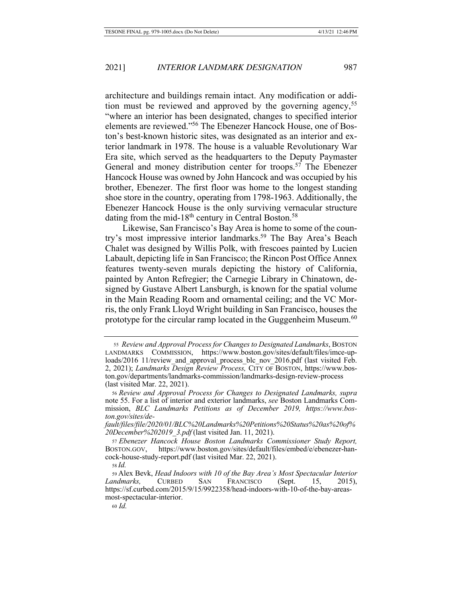architecture and buildings remain intact. Any modification or addition must be reviewed and approved by the governing agency,<sup>55</sup> "where an interior has been designated, changes to specified interior elements are reviewed."<sup>56</sup> The Ebenezer Hancock House, one of Boston's best-known historic sites, was designated as an interior and exterior landmark in 1978. The house is a valuable Revolutionary War Era site, which served as the headquarters to the Deputy Paymaster General and money distribution center for troops.<sup>57</sup> The Ebenezer Hancock House was owned by John Hancock and was occupied by his brother, Ebenezer. The first floor was home to the longest standing shoe store in the country, operating from 1798-1963. Additionally, the Ebenezer Hancock House is the only surviving vernacular structure dating from the mid-18<sup>th</sup> century in Central Boston.<sup>58</sup>

Likewise, San Francisco's Bay Area is home to some of the country's most impressive interior landmarks.<sup>59</sup> The Bay Area's Beach Chalet was designed by Willis Polk, with frescoes painted by Lucien Labault, depicting life in San Francisco; the Rincon Post Office Annex features twenty-seven murals depicting the history of California, painted by Anton Refregier; the Carnegie Library in Chinatown, designed by Gustave Albert Lansburgh, is known for the spatial volume in the Main Reading Room and ornamental ceiling; and the VC Morris, the only Frank Lloyd Wright building in San Francisco, houses the prototype for the circular ramp located in the Guggenheim Museum.<sup>60</sup>

<sup>55</sup> Review and Approval Process for Changes to Designated Landmarks, BOSTON LANDMARKS COMMISSION, https://www.boston.gov/sites/default/files/imce-uploads/2016 11/review and approval process blc nov 2016.pdf (last visited Feb. 2, 2021); Landmarks Design Review Process, CITY OF BOSTON, https://www.boston.gov/departments/landmarks-commission/landmarks-design-review-process (last visited Mar.  $22$ ,  $2021$ ).

<sup>56</sup> Review and Approval Process for Changes to Designated Landmarks, supra note 55. For a list of interior and exterior landmarks, see Boston Landmarks Commission, BLC Landmarks Petitions as of December 2019, https://www.boston.gov/sites/de-

fault/files/file/2020/01/BLC%20Landmarks%20Petitions%20Status%20as%20of% 20December%202019 3.pdf (last visited Jan. 11, 2021).

<sup>57</sup> Ebenezer Hancock House Boston Landmarks Commissioner Study Report, BOSTON.GOV, https://www.boston.gov/sites/default/files/embed/e/ebenezer-hancock-house-study-report.pdf (last visited Mar. 22, 2021).

<sup>58</sup> Id.

<sup>59</sup> Alex Bevk, Head Indoors with 10 of the Bay Area's Most Spectacular Interior CURBED SAN FRANCISCO (Sept.) Landmarks, 15, 2015), https://sf.curbed.com/2015/9/15/9922358/head-indoors-with-10-of-the-bay-areasmost-spectacular-interior.

<sup>60</sup> Id.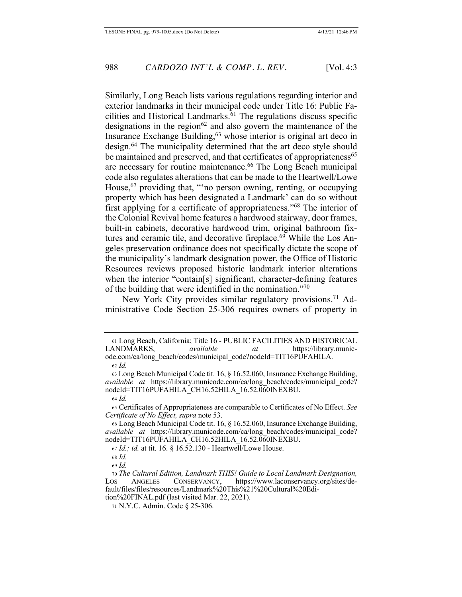Similarly, Long Beach lists various regulations regarding interior and exterior landmarks in their municipal code under Title 16: Public Facilities and Historical Landmarks.<sup>61</sup> The regulations discuss specific designations in the region<sup>62</sup> and also govern the maintenance of the Insurance Exchange Building,<sup>63</sup> whose interior is original art deco in design.<sup>64</sup> The municipality determined that the art deco style should be maintained and preserved, and that certificates of appropriateness<sup>65</sup> are necessary for routine maintenance.<sup>66</sup> The Long Beach municipal code also regulates alterations that can be made to the Heartwell/Lowe House,<sup>67</sup> providing that, ""no person owning, renting, or occupying property which has been designated a Landmark' can do so without first applying for a certificate of appropriateness."<sup>68</sup> The interior of the Colonial Revival home features a hardwood stairway, door frames, built-in cabinets, decorative hardwood trim, original bathroom fixtures and ceramic tile, and decorative fireplace.<sup>69</sup> While the Los Angeles preservation ordinance does not specifically dictate the scope of the municipality's landmark designation power, the Office of Historic Resources reviews proposed historic landmark interior alterations when the interior "contain[s] significant, character-defining features of the building that were identified in the nomination."<sup>70</sup>

New York City provides similar regulatory provisions.<sup>71</sup> Administrative Code Section 25-306 requires owners of property in

62 Id.

63 Long Beach Municipal Code tit. 16, § 16.52.060, Insurance Exchange Building, *available at https://library.municode.com/ca/long beach/codes/municipal code?* nodeId=TIT16PUFAHILA CH16.52HILA 16.52.060INEXBU.

 $64$  *Id.* 

65 Certificates of Appropriateness are comparable to Certificates of No Effect. See Certificate of No Effect, supra note 53.

<sup>61</sup> Long Beach, California; Title 16 - PUBLIC FACILITIES AND HISTORICAL LANDMARKS, available  $at$ https://library.municode.com/ca/long\_beach/codes/municipal\_code?nodeId=TIT16PUFAHILA.

<sup>66</sup> Long Beach Municipal Code tit. 16, § 16.52.060, Insurance Exchange Building, available at https://library.municode.com/ca/long\_beach/codes/municipal\_code? nodeId=TIT16PUFAHILA\_CH16.52HILA\_16.52.060INEXBU.

<sup>67</sup> Id.; id. at tit. 16. § 16.52.130 - Heartwell/Lowe House.

 $68$  *Id.* 

<sup>69</sup> Id.

<sup>70</sup> The Cultural Edition, Landmark THIS! Guide to Local Landmark Designation, ANGELES CONSERVANCY, https://www.laconservancy.org/sites/de-Los fault/files/files/resources/Landmark%20This%21%20Cultural%20Edition%20FINAL.pdf (last visited Mar. 22, 2021).

<sup>71</sup> N.Y.C. Admin. Code § 25-306.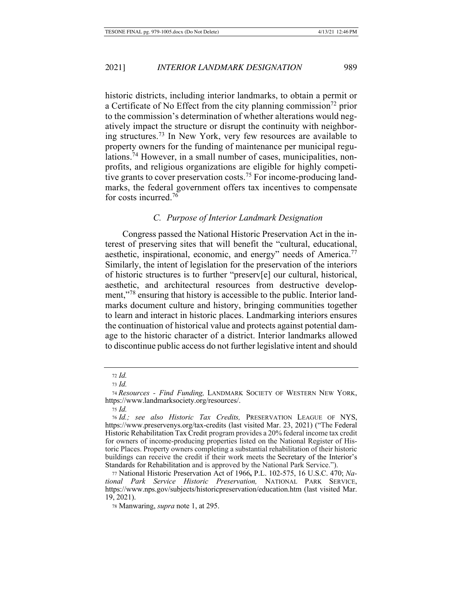historic districts, including interior landmarks, to obtain a permit or a Certificate of No Effect from the city planning commission<sup>72</sup> prior to the commission's determination of whether alterations would negatively impact the structure or disrupt the continuity with neighboring structures.<sup>73</sup> In New York, very few resources are available to property owners for the funding of maintenance per municipal regulations.<sup>74</sup> However, in a small number of cases, municipalities, nonprofits, and religious organizations are eligible for highly competitive grants to cover preservation costs.<sup>75</sup> For income-producing landmarks, the federal government offers tax incentives to compensate for costs incurred.<sup>76</sup>

# *C. Purpose of Interior Landmark Designation*

Congress passed the National Historic Preservation Act in the interest of preserving sites that will benefit the "cultural, educational, aesthetic, inspirational, economic, and energy" needs of America.<sup>77</sup> Similarly, the intent of legislation for the preservation of the interiors of historic structures is to further "preserv[e] our cultural, historical, aesthetic, and architectural resources from destructive development,"<sup>78</sup> ensuring that history is accessible to the public. Interior landmarks document culture and history, bringing communities together to learn and interact in historic places. Landmarking interiors ensures the continuation of historical value and protects against potential damage to the historic character of a district. Interior landmarks allowed to discontinue public access do not further legislative intent and should

 $72$  *Id.* 

 $73$  *Id.* 

<sup>74</sup> Resources - Find Funding, LANDMARK SOCIETY OF WESTERN NEW YORK, https://www.landmarksociety.org/resources/.

 $75$  *Id.* 

<sup>76</sup> Id.; see also Historic Tax Credits, PRESERVATION LEAGUE OF NYS, https://www.preservenys.org/tax-credits (last visited Mar. 23, 2021) ("The Federal Historic Rehabilitation Tax Credit program provides a 20% federal income tax credit for owners of income-producing properties listed on the National Register of Historic Places. Property owners completing a substantial rehabilitation of their historic buildings can receive the credit if their work meets the Secretary of the Interior's Standards for Rehabilitation and is approved by the National Park Service.").

<sup>77</sup> National Historic Preservation Act of 1966, P.L. 102-575, 16 U.S.C. 470; National Park Service Historic Preservation, NATIONAL PARK SERVICE, https://www.nps.gov/subjects/historicpreservation/education.htm (last visited Mar.  $19, 2021$ .

<sup>78</sup> Manwaring, *supra* note 1, at 295.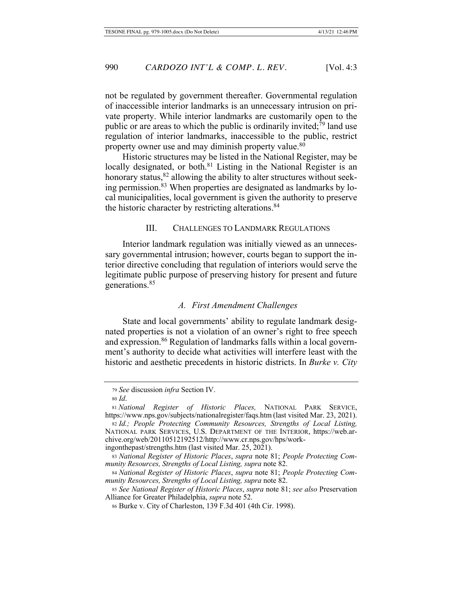not be regulated by government thereafter. Governmental regulation of inaccessible interior landmarks is an unnecessary intrusion on private property. While interior landmarks are customarily open to the public or are areas to which the public is ordinarily invited;<sup>79</sup> land use regulation of interior landmarks, inaccessible to the public, restrict property owner use and may diminish property value.<sup>80</sup>

Historic structures may be listed in the National Register, may be locally designated, or both.<sup>81</sup> Listing in the National Register is an honorary status,<sup>82</sup> allowing the ability to alter structures without seeking permission.<sup>83</sup> When properties are designated as landmarks by local municipalities, local government is given the authority to preserve the historic character by restricting alterations.<sup>84</sup>

# III. CHALLENGES TO LANDMARK REGULATIONS

Interior landmark regulation was initially viewed as an unnecessary governmental intrusion; however, courts began to support the interior directive concluding that regulation of interiors would serve the legitimate public purpose of preserving history for present and future generations.<sup>85</sup>

# A. First Amendment Challenges

State and local governments' ability to regulate landmark designated properties is not a violation of an owner's right to free speech and expression.<sup>86</sup> Regulation of landmarks falls within a local government's authority to decide what activities will interfere least with the historic and aesthetic precedents in historic districts. In *Burke v. City* 

<sup>79</sup> See discussion infra Section IV.

<sup>80</sup> *Id*.

<sup>81</sup> National Register of Historic Places, NATIONAL PARK SERVICE, https://www.nps.gov/subjects/nationalregister/faqs.htm (last visited Mar. 23, 2021).

<sup>82</sup> Id.; People Protecting Community Resources, Strengths of Local Listing, NATIONAL PARK SERVICES, U.S. DEPARTMENT OF THE INTERIOR, https://web.archive.org/web/20110512192512/http://www.cr.nps.gov/hps/work-

ingonthepast/strengths.htm (last visited Mar. 25, 2021).

<sup>83</sup> National Register of Historic Places, supra note 81; People Protecting Com*munity Resources, Strengths of Local Listing, supra note 82.* 

<sup>84</sup> National Register of Historic Places, supra note 81; People Protecting Community Resources, Strengths of Local Listing, supra note 82.

<sup>85</sup> See National Register of Historic Places, supra note 81; see also Preservation Alliance for Greater Philadelphia, *supra* note 52.

<sup>86</sup> Burke v. City of Charleston, 139 F.3d 401 (4th Cir. 1998).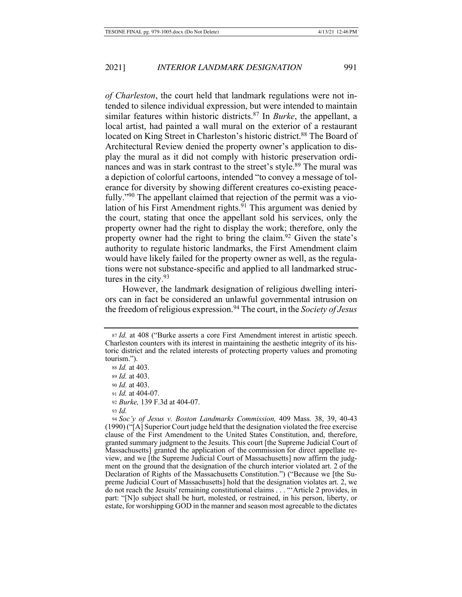of Charleston, the court held that landmark regulations were not intended to silence individual expression, but were intended to maintain similar features within historic districts.<sup>87</sup> In *Burke*, the appellant, a local artist, had painted a wall mural on the exterior of a restaurant located on King Street in Charleston's historic district.<sup>88</sup> The Board of Architectural Review denied the property owner's application to display the mural as it did not comply with historic preservation ordinances and was in stark contrast to the street's style.<sup>89</sup> The mural was a depiction of colorful cartoons, intended "to convey a message of tolerance for diversity by showing different creatures co-existing peacefully."<sup>90</sup> The appellant claimed that rejection of the permit was a violation of his First Amendment rights.<sup>91</sup> This argument was denied by the court, stating that once the appellant sold his services, only the property owner had the right to display the work; therefore, only the property owner had the right to bring the claim.<sup>92</sup> Given the state's authority to regulate historic landmarks, the First Amendment claim would have likely failed for the property owner as well, as the regulations were not substance-specific and applied to all landmarked structures in the city.  $93$ 

However, the landmark designation of religious dwelling interiors can in fact be considered an unlawful governmental intrusion on the freedom of religious expression.<sup>94</sup> The court, in the Society of Jesus

<sup>87</sup> Id. at 408 ("Burke asserts a core First Amendment interest in artistic speech. Charleston counters with its interest in maintaining the aesthetic integrity of its historic district and the related interests of protecting property values and promoting tourism.").

<sup>88</sup> Id. at 403.

<sup>89</sup> *Id.* at 403.

<sup>90</sup> *Id.* at 403.  $91$  *Id.* at 404-07.

<sup>92</sup> Burke, 139 F.3d at 404-07.

<sup>93</sup>  $Id$ 

<sup>94</sup> Soc'y of Jesus v. Boston Landmarks Commission, 409 Mass. 38, 39, 40-43 (1990) ("[A] Superior Court judge held that the designation violated the free exercise clause of the First Amendment to the United States Constitution, and, therefore, granted summary judgment to the Jesuits. This court [the Supreme Judicial Court of Massachusetts] granted the application of the commission for direct appellate review, and we [the Supreme Judicial Court of Massachusetts] now affirm the judgment on the ground that the designation of the church interior violated art. 2 of the Declaration of Rights of the Massachusetts Constitution.") ("Because we [the Supreme Judicial Court of Massachusetts] hold that the designation violates art. 2, we do not reach the Jesuits' remaining constitutional claims . . . "Article 2 provides, in part: "[N]o subject shall be hurt, molested, or restrained, in his person, liberty, or estate, for worshipping GOD in the manner and season most agreeable to the dictates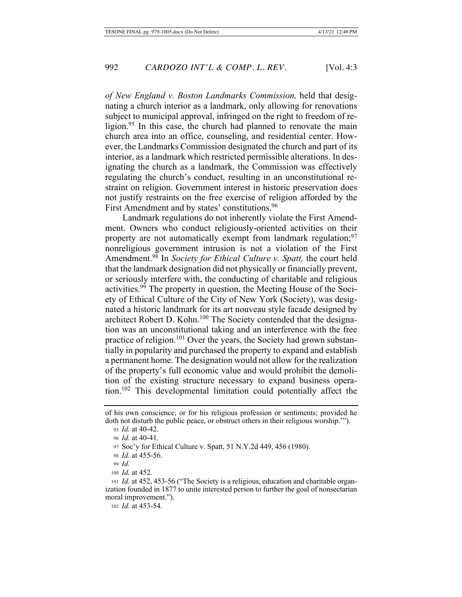of New England v. Boston Landmarks Commission, held that designating a church interior as a landmark, only allowing for renovations subject to municipal approval, infringed on the right to freedom of religion.<sup>95</sup> In this case, the church had planned to renovate the main church area into an office, counseling, and residential center. However, the Landmarks Commission designated the church and part of its interior, as a landmark which restricted permissible alterations. In designating the church as a landmark, the Commission was effectively regulating the church's conduct, resulting in an unconstitutional restraint on religion. Government interest in historic preservation does not justify restraints on the free exercise of religion afforded by the First Amendment and by states' constitutions.<sup>96</sup>

Landmark regulations do not inherently violate the First Amendment. Owners who conduct religiously-oriented activities on their property are not automatically exempt from landmark regulation;<sup>97</sup> nonreligious government intrusion is not a violation of the First Amendment.<sup>98</sup> In Society for Ethical Culture v. Spatt, the court held that the landmark designation did not physically or financially prevent, or seriously interfere with, the conducting of charitable and religious activities.<sup>99</sup> The property in question, the Meeting House of the Society of Ethical Culture of the City of New York (Society), was designated a historic landmark for its art nouveau style facade designed by architect Robert D. Kohn.<sup>100</sup> The Society contended that the designation was an unconstitutional taking and an interference with the free practice of religion.<sup>101</sup> Over the years, the Society had grown substantially in popularity and purchased the property to expand and establish a permanent home. The designation would not allow for the realization of the property's full economic value and would prohibit the demolition of the existing structure necessary to expand business operation.<sup>102</sup> This developmental limitation could potentially affect the

992

of his own conscience; or for his religious profession or sentiments; provided he doth not disturb the public peace, or obstruct others in their religious worship."").

<sup>95</sup> *Id.* at 40-42.

<sup>96</sup> *Id.* at 40-41.

<sup>97</sup> Soc'y for Ethical Culture v. Spatt, 51 N.Y.2d 449, 456 (1980).

<sup>98</sup> *Id.* at 455-56.

 $99$  *Id* 

<sup>100</sup>  $Id$  at 452.

<sup>101</sup> Id. at 452, 453-56 ("The Society is a religious, education and charitable organization founded in 1877 to unite interested person to further the goal of nonsectarian moral improvement.").

<sup>102</sup> Id. at 453-54.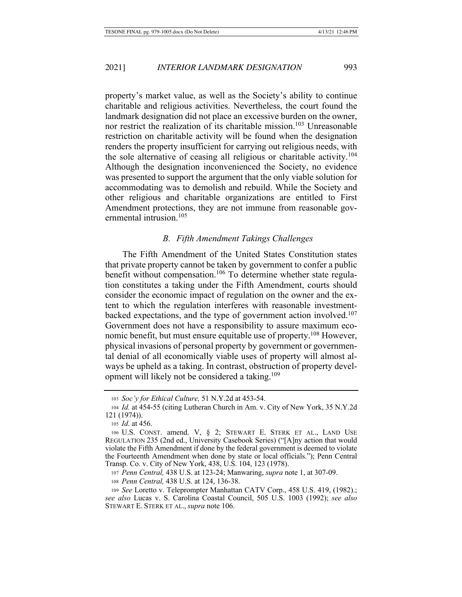property's market value, as well as the Society's ability to continue charitable and religious activities. Nevertheless, the court found the landmark designation did not place an excessive burden on the owner, nor restrict the realization of its charitable mission.<sup>103</sup> Unreasonable restriction on charitable activity will be found when the designation renders the property insufficient for carrying out religious needs, with the sole alternative of ceasing all religious or charitable activity.<sup>104</sup> Although the designation inconvenienced the Society, no evidence was presented to support the argument that the only viable solution for accommodating was to demolish and rebuild. While the Society and other religious and charitable organizations are entitled to First Amendment protections, they are not immune from reasonable governmental intrusion.<sup>105</sup>

### **B.** Fifth Amendment Takings Challenges

The Fifth Amendment of the United States Constitution states that private property cannot be taken by government to confer a public benefit without compensation.<sup>106</sup> To determine whether state regulation constitutes a taking under the Fifth Amendment, courts should consider the economic impact of regulation on the owner and the extent to which the regulation interferes with reasonable investmentbacked expectations, and the type of government action involved.<sup>107</sup> Government does not have a responsibility to assure maximum economic benefit, but must ensure equitable use of property.<sup>108</sup> However, physical invasions of personal property by government or governmental denial of all economically viable uses of property will almost always be upheld as a taking. In contrast, obstruction of property development will likely not be considered a taking.<sup>109</sup>

<sup>103</sup> Soc'y for Ethical Culture, 51 N.Y.2d at 453-54.

<sup>104</sup> *Id.* at 454-55 (citing Lutheran Church in Am. v. City of New York, 35 N.Y.2d  $121(1974)$ .

<sup>105</sup> *Id.* at 456.

<sup>106</sup> U.S. CONST. amend. V, § 2; STEWART E. STERK ET AL., LAND USE REGULATION 235 (2nd ed., University Casebook Series) ("[A]ny action that would violate the Fifth Amendment if done by the federal government is deemed to violate the Fourteenth Amendment when done by state or local officials."); Penn Central Transp. Co. v. City of New York, 438, U.S. 104, 123 (1978).

<sup>107</sup> Penn Central, 438 U.S. at 123-24; Manwaring, *supra* note 1, at 307-09.

<sup>108</sup> Penn Central, 438 U.S. at 124, 136-38.

<sup>109</sup> See Loretto v. Teleprompter Manhattan CATV Corp., 458 U.S. 419, (1982).; see also Lucas v. S. Carolina Coastal Council, 505 U.S. 1003 (1992); see also STEWART E. STERK ET AL., *supra* note 106.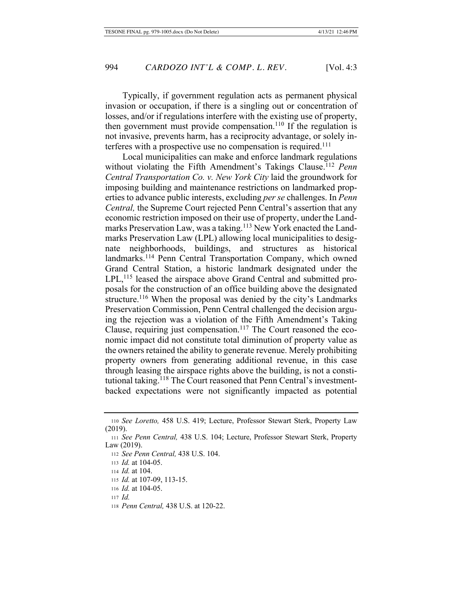Typically, if government regulation acts as permanent physical invasion or occupation, if there is a singling out or concentration of losses, and/or if regulations interfere with the existing use of property, then government must provide compensation.<sup>110</sup> If the regulation is not invasive, prevents harm, has a reciprocity advantage, or solely interferes with a prospective use no compensation is required.<sup>111</sup>

Local municipalities can make and enforce landmark regulations without violating the Fifth Amendment's Takings Clause.<sup>112</sup> Penn *Central Transportation Co. v. New York City laid the groundwork for* imposing building and maintenance restrictions on landmarked prop $i$ erties to advance public interests, excluding *per se* challenges. In *Penn Central*, the Supreme Court rejected Penn Central's assertion that any economic restriction imposed on their use of property, under the Landmarks Preservation Law, was a taking.<sup>113</sup> New York enacted the Landmarks Preservation Law (LPL) allowing local municipalities to designate neighborhoods, buildings, and structures as historical landmarks.<sup>114</sup> Penn Central Transportation Company, which owned Grand Central Station, a historic landmark designated under the  $LPL<sup>115</sup>$  leased the airspace above Grand Central and submitted proposals for the construction of an office building above the designated structure.<sup>116</sup> When the proposal was denied by the city's Landmarks Preservation Commission, Penn Central challenged the decision arguing the rejection was a violation of the Fifth Amendment's Taking Clause, requiring just compensation.<sup>117</sup> The Court reasoned the economic impact did not constitute total diminution of property value as the owners retained the ability to generate revenue. Merely prohibiting property owners from generating additional revenue, in this case through leasing the airspace rights above the building, is not a constitutional taking.<sup>118</sup> The Court reasoned that Penn Central's investmentbacked expectations were not significantly impacted as potential

112 See Penn Central, 438 U.S. 104.

- 114 *Id.* at 104.
- 115 *Id.* at 107-09, 113-15.
- 116 *Id.* at 104-05.
- $_{117}$  *Id.*

<sup>110</sup> See Loretto, 458 U.S. 419; Lecture, Professor Stewart Sterk, Property Law  $(2019).$ 

<sup>111</sup> See Penn Central, 438 U.S. 104; Lecture, Professor Stewart Sterk, Property  $Law (2019).$ 

<sup>113</sup> *Id.* at 104-05.

<sup>118</sup> Penn Central, 438 U.S. at 120-22.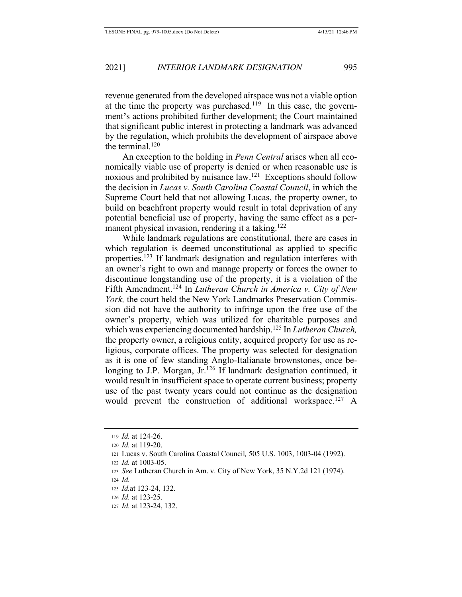revenue generated from the developed airspace was not a viable option at the time the property was purchased.<sup>119</sup> In this case, the government's actions prohibited further development; the Court maintained that significant public interest in protecting a landmark was advanced by the regulation, which prohibits the development of airspace above the terminal. $120$ 

An exception to the holding in *Penn Central* arises when all economically viable use of property is denied or when reasonable use is noxious and prohibited by nuisance  $law<sup>121</sup>$ . Exceptions should follow the decision in *Lucas v. South Carolina Coastal Council*, in which the Supreme Court held that not allowing Lucas, the property owner, to build on beachfront property would result in total deprivation of any potential beneficial use of property, having the same effect as a permanent physical invasion, rendering it a taking.<sup>122</sup>

While landmark regulations are constitutional, there are cases in which regulation is deemed unconstitutional as applied to specific properties.<sup>123</sup> If landmark designation and regulation interferes with an owner's right to own and manage property or forces the owner to discontinue longstanding use of the property, it is a violation of the Fifth Amendment.<sup>124</sup> In *Lutheran Church in America v. City of New York*, the court held the New York Landmarks Preservation Commission did not have the authority to infringe upon the free use of the owner's property, which was utilized for charitable purposes and which was experiencing documented hardship.<sup>125</sup> In *Lutheran Church*, the property owner, a religious entity, acquired property for use as religious, corporate offices. The property was selected for designation as it is one of few standing Anglo-Italianate brownstones, once belonging to J.P. Morgan, Jr.<sup>126</sup> If landmark designation continued, it would result in insufficient space to operate current business; property use of the past twenty years could not continue as the designation would prevent the construction of additional workspace.<sup>127</sup> A

 $119$  *Id.* at 124-26.

<sup>120</sup> *Id.* at 119-20.

<sup>121</sup> Lucas v. South Carolina Coastal Council, 505 U.S. 1003, 1003-04 (1992).

 $122$  *Id.* at 1003-05.

<sup>123</sup> See Lutheran Church in Am. v. City of New York, 35 N.Y.2d 121 (1974).

 $_{124}$  *Id.* 

<sup>125</sup> *Id.* at 123-24, 132.

<sup>126</sup> *Id.* at 123-25.

<sup>127</sup> *Id.* at 123-24, 132.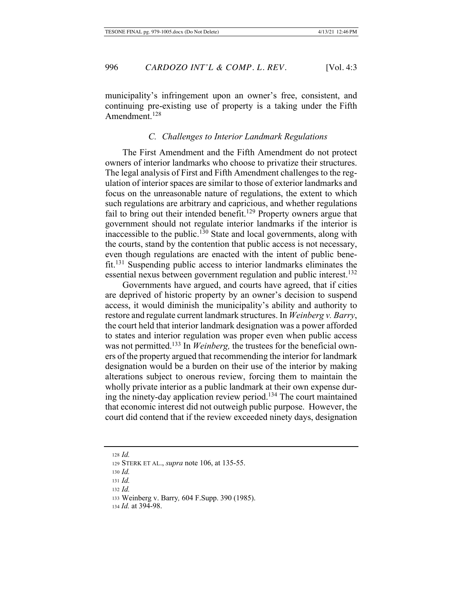municipality's infringement upon an owner's free, consistent, and continuing pre-existing use of property is a taking under the Fifth Amendment.<sup>128</sup>

## C. Challenges to Interior Landmark Regulations

The First Amendment and the Fifth Amendment do not protect owners of interior landmarks who choose to privatize their structures. The legal analysis of First and Fifth Amendment challenges to the regulation of interior spaces are similar to those of exterior landmarks and focus on the unreasonable nature of regulations, the extent to which such regulations are arbitrary and capricious, and whether regulations fail to bring out their intended benefit.<sup>129</sup> Property owners argue that government should not regulate interior landmarks if the interior is inaccessible to the public.<sup>130</sup> State and local governments, along with the courts, stand by the contention that public access is not necessary, even though regulations are enacted with the intent of public bene $fit^{131}$  Suspending public access to interior landmarks eliminates the essential nexus between government regulation and public interest.<sup>132</sup>

Governments have argued, and courts have agreed, that if cities are deprived of historic property by an owner's decision to suspend access, it would diminish the municipality's ability and authority to restore and regulate current landmark structures. In Weinberg v. Barry, the court held that interior landmark designation was a power afforded to states and interior regulation was proper even when public access was not permitted.<sup>133</sup> In *Weinberg*, the trustees for the beneficial owners of the property argued that recommending the interior for landmark designation would be a burden on their use of the interior by making alterations subject to onerous review, forcing them to maintain the wholly private interior as a public landmark at their own expense during the ninety-day application review period.<sup>134</sup> The court maintained that economic interest did not outweigh public purpose. However, the court did contend that if the review exceeded ninety days, designation

 $128$  *Id.* 

<sup>129</sup> STERK ET AL., *supra* note 106, at 135-55.

 $130$  *Id.* 

 $131$  *Id.* 

 $132$  *Id.* 

<sup>133</sup> Weinberg v. Barry, 604 F.Supp. 390 (1985).

<sup>134</sup> Id. at 394-98.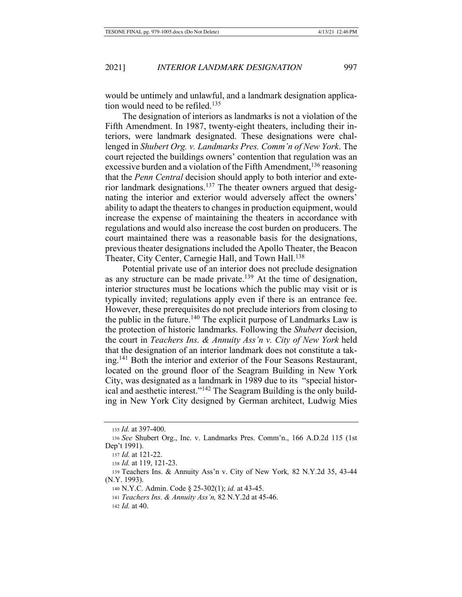would be untimely and unlawful, and a landmark designation application would need to be refiled.<sup>135</sup>

The designation of interiors as landmarks is not a violation of the Fifth Amendment. In 1987, twenty-eight theaters, including their interiors, were landmark designated. These designations were challenged in Shubert Org. v. Landmarks Pres. Comm'n of New York. The court rejected the buildings owners' contention that regulation was an excessive burden and a violation of the Fifth Amendment,<sup>136</sup> reasoning that the *Penn Central* decision should apply to both interior and exterior landmark designations.<sup>137</sup> The theater owners argued that designating the interior and exterior would adversely affect the owners' ability to adapt the theaters to changes in production equipment, would increase the expense of maintaining the theaters in accordance with regulations and would also increase the cost burden on producers. The court maintained there was a reasonable basis for the designations, previous theater designations included the Apollo Theater, the Beacon Theater, City Center, Carnegie Hall, and Town Hall.<sup>138</sup>

Potential private use of an interior does not preclude designation as any structure can be made private.<sup>139</sup> At the time of designation, interior structures must be locations which the public may visit or is typically invited; regulations apply even if there is an entrance fee. However, these prerequisites do not preclude interiors from closing to the public in the future.<sup>140</sup> The explicit purpose of Landmarks Law is the protection of historic landmarks. Following the Shubert decision, the court in *Teachers Ins. & Annuity Ass'n v. City of New York* held that the designation of an interior landmark does not constitute a taking.<sup>141</sup> Both the interior and exterior of the Four Seasons Restaurant, located on the ground floor of the Seagram Building in New York City, was designated as a landmark in 1989 due to its "special historical and aesthetic interest."<sup>142</sup> The Seagram Building is the only building in New York City designed by German architect, Ludwig Mies

 $135$  *Id.* at 397-400.

<sup>136</sup> See Shubert Org., Inc. v. Landmarks Pres. Comm'n., 166 A.D.2d 115 (1st Dep't 1991).

<sup>137</sup> *Id.* at 121-22.

<sup>138</sup> *Id.* at 119, 121-23.

<sup>139</sup> Teachers Ins. & Annuity Ass'n v. City of New York, 82 N.Y.2d 35, 43-44  $(N.Y. 1993)$ .

<sup>140</sup> N.Y.C. Admin. Code § 25-302(1); id. at 43-45.

<sup>141</sup> Teachers Ins. & Annuity Ass'n, 82 N.Y.2d at 45-46.

<sup>142</sup>  $Id.$  at 40.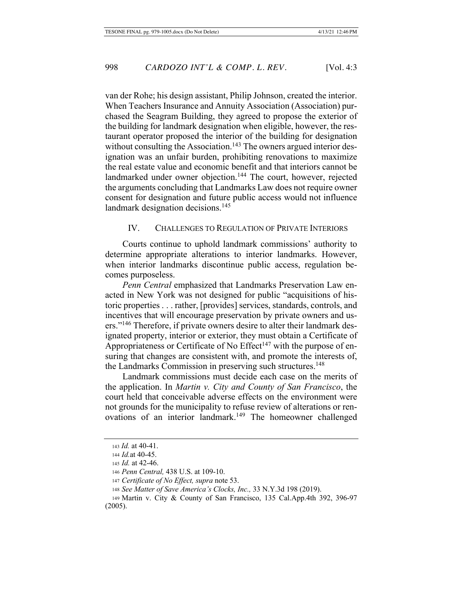van der Rohe; his design assistant, Philip Johnson, created the interior. When Teachers Insurance and Annuity Association (Association) purchased the Seagram Building, they agreed to propose the exterior of the building for landmark designation when eligible, however, the restaurant operator proposed the interior of the building for designation without consulting the Association.<sup>143</sup> The owners argued interior designation was an unfair burden, prohibiting renovations to maximize the real estate value and economic benefit and that interiors cannot be landmarked under owner objection.<sup>144</sup> The court, however, rejected the arguments concluding that Landmarks Law does not require owner consent for designation and future public access would not influence landmark designation decisions.<sup>145</sup>

# IV. CHALLENGES TO REGULATION OF PRIVATE INTERIORS

Courts continue to uphold landmark commissions' authority to determine appropriate alterations to interior landmarks. However, when interior landmarks discontinue public access, regulation becomes purposeless.

*Penn Central* emphasized that Landmarks Preservation Law enacted in New York was not designed for public "acquisitions of historic properties . . . rather, [provides] services, standards, controls, and incentives that will encourage preservation by private owners and users."<sup>146</sup> Therefore, if private owners desire to alter their landmark designated property, interior or exterior, they must obtain a Certificate of Appropriateness or Certificate of No  $E$ ffect<sup>147</sup> with the purpose of ensuring that changes are consistent with, and promote the interests of, the Landmarks Commission in preserving such structures.<sup>148</sup>

Landmark commissions must decide each case on the merits of the application. In *Martin v. City and County of San Francisco*, the court held that conceivable adverse effects on the environment were not grounds for the municipality to refuse review of alterations or renovations of an interior landmark.<sup>149</sup> The homeowner challenged

<sup>143</sup> *Id.* at 40-41.

<sup>144</sup> *Id.* at 40-45.

<sup>145</sup> *Id.* at 42-46.

<sup>146</sup> Penn Central, 438 U.S. at 109-10.

<sup>147</sup> Certificate of No Effect, supra note 53.

<sup>148</sup> See Matter of Save America's Clocks, Inc., 33 N.Y.3d 198 (2019).

 $149$  Martin v. City & County of San Francisco, 135 Cal.App.4th 392, 396-97  $(2005).$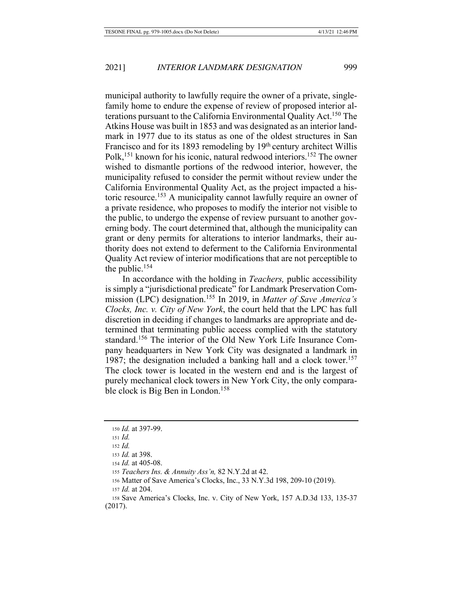municipal authority to lawfully require the owner of a private, singlefamily home to endure the expense of review of proposed interior alterations pursuant to the California Environmental Quality Act.<sup>150</sup> The Atkins House was built in 1853 and was designated as an interior landmark in 1977 due to its status as one of the oldest structures in San Francisco and for its 1893 remodeling by 19<sup>th</sup> century architect Willis Polk,<sup>151</sup> known for his iconic, natural redwood interiors.<sup>152</sup> The owner wished to dismantle portions of the redwood interior, however, the municipality refused to consider the permit without review under the California Environmental Quality Act, as the project impacted a historic resource.<sup>153</sup> A municipality cannot lawfully require an owner of a private residence, who proposes to modify the interior not visible to the public, to undergo the expense of review pursuant to another governing body. The court determined that, although the municipality can grant or deny permits for alterations to interior landmarks, their authority does not extend to deferment to the California Environmental Quality Act review of interior modifications that are not perceptible to the public. $154$ 

In accordance with the holding in *Teachers*, public accessibility is simply a "jurisdictional predicate" for Landmark Preservation Commission (LPC) designation.<sup>155</sup> In 2019, in Matter of Save America's Clocks, Inc. v. City of New York, the court held that the LPC has full discretion in deciding if changes to landmarks are appropriate and determined that terminating public access complied with the statutory standard.<sup>156</sup> The interior of the Old New York Life Insurance Company headquarters in New York City was designated a landmark in 1987; the designation included a banking hall and a clock tower.<sup>157</sup> The clock tower is located in the western end and is the largest of purely mechanical clock towers in New York City, the only comparable clock is Big Ben in London.<sup>158</sup>

158 Save America's Clocks, Inc. v. City of New York, 157 A.D.3d 133, 135-37  $(2017).$ 

<sup>150</sup> *Id.* at 397-99.

 $151$  *Id.* 

 $152$  *Id.* 

<sup>153</sup> *Id.* at 398.

<sup>154</sup> *Id.* at 405-08.

<sup>155</sup> Teachers Ins. & Annuity Ass'n, 82 N.Y.2d at 42.

<sup>156</sup> Matter of Save America's Clocks, Inc., 33 N.Y.3d 198, 209-10 (2019).

 $157$  *Id.* at 204.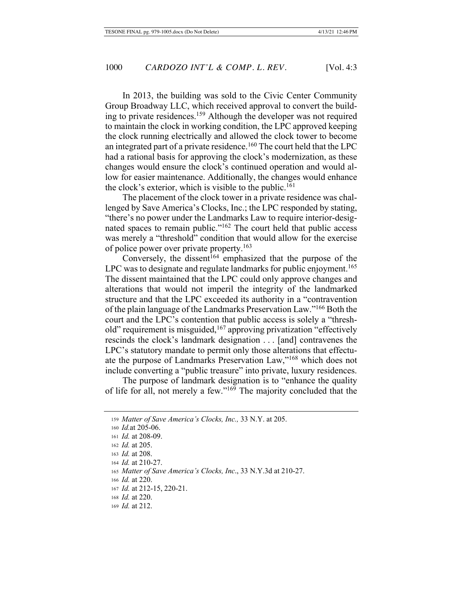In 2013, the building was sold to the Civic Center Community Group Broadway LLC, which received approval to convert the building to private residences.<sup>159</sup> Although the developer was not required to maintain the clock in working condition, the LPC approved keeping the clock running electrically and allowed the clock tower to become an integrated part of a private residence.<sup>160</sup> The court held that the LPC had a rational basis for approving the clock's modernization, as these changes would ensure the clock's continued operation and would allow for easier maintenance. Additionally, the changes would enhance the clock's exterior, which is visible to the public.<sup>161</sup>

The placement of the clock tower in a private residence was challenged by Save America's Clocks, Inc.; the LPC responded by stating, "there's no power under the Landmarks Law to require interior-designated spaces to remain public."<sup>162</sup> The court held that public access was merely a "threshold" condition that would allow for the exercise of police power over private property.<sup>163</sup>

Conversely, the dissent<sup>164</sup> emphasized that the purpose of the LPC was to designate and regulate landmarks for public enjoyment.<sup>165</sup> The dissent maintained that the LPC could only approve changes and alterations that would not imperil the integrity of the landmarked structure and that the LPC exceeded its authority in a "contravention of the plain language of the Landmarks Preservation Law."<sup>166</sup> Both the court and the LPC's contention that public access is solely a "threshold" requirement is misguided,  $167$  approving privatization "effectively rescinds the clock's landmark designation  $\dots$  [and] contravenes the LPC's statutory mandate to permit only those alterations that effectuate the purpose of Landmarks Preservation Law,"<sup>168</sup> which does not include converting a "public treasure" into private, luxury residences.

The purpose of landmark designation is to "enhance the quality" of life for all, not merely a few."<sup>169</sup> The majority concluded that the

163 *Id.* at 208.

<sup>159</sup> Matter of Save America's Clocks, Inc., 33 N.Y. at 205.

<sup>160</sup> *Id.* at 205-06.

<sup>161</sup> *Id.* at 208-09.

<sup>162</sup> *Id.* at 205.

<sup>164</sup> *Id.* at 210-27.

<sup>165</sup> Matter of Save America's Clocks, Inc., 33 N.Y.3d at 210-27.

<sup>166</sup> *Id.* at 220.

<sup>167</sup> *Id.* at 212-15, 220-21.

<sup>168</sup> *Id.* at 220.

<sup>169</sup> *Id.* at 212.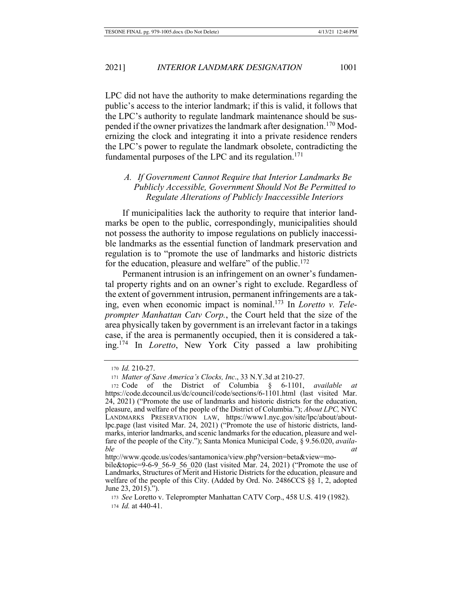LPC did not have the authority to make determinations regarding the public's access to the interior landmark; if this is valid, it follows that

the LPC's authority to regulate landmark maintenance should be suspended if the owner privatizes the landmark after designation.<sup>170</sup> Modernizing the clock and integrating it into a private residence renders the LPC's power to regulate the landmark obsolete, contradicting the fundamental purposes of the LPC and its regulation.<sup>171</sup>

# A. If Government Cannot Require that Interior Landmarks Be Publicly Accessible, Government Should Not Be Permitted to Regulate Alterations of Publicly Inaccessible Interiors

If municipalities lack the authority to require that interior landmarks be open to the public, correspondingly, municipalities should not possess the authority to impose regulations on publicly inaccessible landmarks as the essential function of landmark preservation and regulation is to "promote the use of landmarks and historic districts for the education, pleasure and welfare" of the public.<sup>172</sup>

Permanent intrusion is an infringement on an owner's fundamental property rights and on an owner's right to exclude. Regardless of the extent of government intrusion, permanent infringements are a taking, even when economic impact is nominal.<sup>173</sup> In *Loretto v. Tele*prompter Manhattan Catv Corp., the Court held that the size of the area physically taken by government is an irrelevant factor in a takings case, if the area is permanently occupied, then it is considered a taking.<sup>174</sup> In *Loretto*, New York City passed a law prohibiting

<sup>170</sup> Id. 210-27.

<sup>171</sup> Matter of Save America's Clocks, Inc., 33 N.Y.3d at 210-27.

<sup>172</sup> Code of the District of Columbia  $\S$  6-1101, *available*  $at$ https://code.dccouncil.us/dc/council/code/sections/6-1101.html (last visited Mar. 24, 2021) ("Promote the use of landmarks and historic districts for the education, pleasure, and welfare of the people of the District of Columbia."); About LPC, NYC LANDMARKS PRESERVATION LAW, https://www1.nyc.gov/site/lpc/about/aboutlpc.page (last visited Mar. 24, 2021) ("Promote the use of historic districts, landmarks, interior landmarks, and scenic landmarks for the education, pleasure and welfare of the people of the City."); Santa Monica Municipal Code,  $\S$  9.56.020, *availa*ble  $\alpha t$ 

http://www.qcode.us/codes/santamonica/view.php?version=beta&view=mo-

bile&topic= $9-6-9$  56-9 56 020 (last visited Mar. 24, 2021) ("Promote the use of Landmarks, Structures of Merit and Historic Districts for the education, pleasure and welfare of the people of this City. (Added by Ord. No. 2486CCS §§ 1, 2, adopted June 23, 2015).").

<sup>173</sup> See Loretto v. Teleprompter Manhattan CATV Corp., 458 U.S. 419 (1982). 174 *Id.* at 440-41.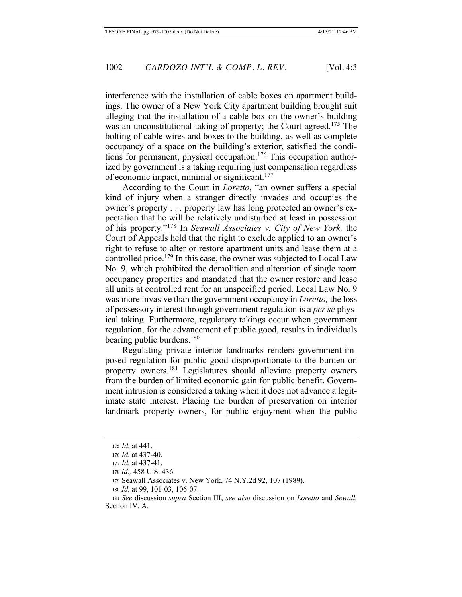interference with the installation of cable boxes on apartment buildings. The owner of a New York City apartment building brought suit alleging that the installation of a cable box on the owner's building was an unconstitutional taking of property; the Court agreed.<sup>175</sup> The bolting of cable wires and boxes to the building, as well as complete occupancy of a space on the building's exterior, satisfied the conditions for permanent, physical occupation.<sup>176</sup> This occupation authorized by government is a taking requiring just compensation regardless of economic impact, minimal or significant. $177$ 

According to the Court in *Loretto*, "an owner suffers a special kind of injury when a stranger directly invades and occupies the owner's property . . . property law has long protected an owner's expectation that he will be relatively undisturbed at least in possession of his property."<sup>178</sup> In Seawall Associates v. City of New York, the Court of Appeals held that the right to exclude applied to an owner's right to refuse to alter or restore apartment units and lease them at a controlled price.<sup>179</sup> In this case, the owner was subjected to Local Law No. 9, which prohibited the demolition and alteration of single room occupancy properties and mandated that the owner restore and lease all units at controlled rent for an unspecified period. Local Law No. 9 was more invasive than the government occupancy in *Loretto*, the loss of possessory interest through government regulation is a *per se* physical taking. Furthermore, regulatory takings occur when government regulation, for the advancement of public good, results in individuals bearing public burdens.<sup>180</sup>

Regulating private interior landmarks renders government-imposed regulation for public good disproportionate to the burden on property owners.<sup>181</sup> Legislatures should alleviate property owners from the burden of limited economic gain for public benefit. Government intrusion is considered a taking when it does not advance a legitimate state interest. Placing the burden of preservation on interior landmark property owners, for public enjoyment when the public

<sup>175</sup> *Id.* at 441.

<sup>176</sup> *Id.* at 437-40.

<sup>177</sup> *Id.* at 437-41.

<sup>178</sup> *Id.*, 458 U.S. 436.

<sup>179</sup> Seawall Associates v. New York, 74 N.Y.2d 92, 107 (1989).

<sup>180</sup> Id. at 99, 101-03, 106-07.

<sup>181</sup> See discussion supra Section III; see also discussion on Loretto and Sewall, Section IV. A.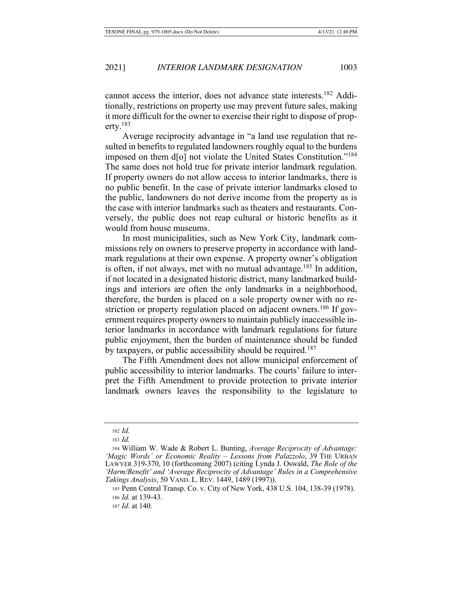cannot access the interior, does not advance state interests.<sup>182</sup> Additionally, restrictions on property use may prevent future sales, making it more difficult for the owner to exercise their right to dispose of property. $^{183}$ 

Average reciprocity advantage in "a land use regulation that resulted in benefits to regulated landowners roughly equal to the burdens imposed on them d[o] not violate the United States Constitution."<sup>184</sup> The same does not hold true for private interior landmark regulation. If property owners do not allow access to interior landmarks, there is no public benefit. In the case of private interior landmarks closed to the public, landowners do not derive income from the property as is the case with interior landmarks such as theaters and restaurants. Conversely, the public does not reap cultural or historic benefits as it would from house museums.

In most municipalities, such as New York City, landmark commissions rely on owners to preserve property in accordance with landmark regulations at their own expense. A property owner's obligation is often, if not always, met with no mutual advantage.<sup>185</sup> In addition, if not located in a designated historic district, many landmarked buildings and interiors are often the only landmarks in a neighborhood, therefore, the burden is placed on a sole property owner with no restriction or property regulation placed on adjacent owners.<sup>186</sup> If government requires property owners to maintain publicly inaccessible interior landmarks in accordance with landmark regulations for future public enjoyment, then the burden of maintenance should be funded by taxpayers, or public accessibility should be required.<sup>187</sup>

The Fifth Amendment does not allow municipal enforcement of public accessibility to interior landmarks. The courts' failure to interpret the Fifth Amendment to provide protection to private interior landmark owners leaves the responsibility to the legislature to

<sup>182</sup> *Id.* 

<sup>183</sup> *Id.* 

<sup>184</sup> William W. Wade & Robert L. Bunting, Average Reciprocity of Advantage: *'Magic Words' or Economic Reality - Lessons from Palazzolo*, 39 THE URBAN LAWYER 319-370, 10 (forthcoming 2007) (citing Lynda J. Oswald, The Role of the *Harm/Benefit' and 'Average Reciprocity of Advantage' Rules in a Comprehensive* Takings Analysis, 50 VAND. L. REV. 1449, 1489 (1997)).

<sup>185</sup> Penn Central Transp. Co. v. City of New York, 438 U.S. 104, 138-39 (1978). 186 *Id.* at 139-43.

<sup>187</sup> *Id.* at 140.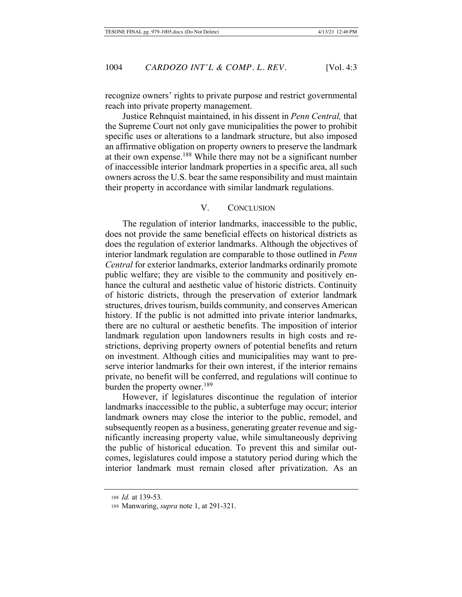recognize owners' rights to private purpose and restrict governmental reach into private property management.

Justice Rehnquist maintained, in his dissent in *Penn Central*, that the Supreme Court not only gave municipalities the power to prohibit specific uses or alterations to a landmark structure, but also imposed an affirmative obligation on property owners to preserve the landmark at their own expense.<sup>188</sup> While there may not be a significant number of inaccessible interior landmark properties in a specific area, all such owners across the U.S. bear the same responsibility and must maintain their property in accordance with similar landmark regulations.

## V. CONCLUSION

The regulation of interior landmarks, inaccessible to the public, does not provide the same beneficial effects on historical districts as does the regulation of exterior landmarks. Although the objectives of interior landmark regulation are comparable to those outlined in *Penn Central* for exterior landmarks, exterior landmarks ordinarily promote public welfare; they are visible to the community and positively enhance the cultural and aesthetic value of historic districts. Continuity of historic districts, through the preservation of exterior landmark structures, drives tourism, builds community, and conserves American history. If the public is not admitted into private interior landmarks, there are no cultural or aesthetic benefits. The imposition of interior landmark regulation upon landowners results in high costs and restrictions, depriving property owners of potential benefits and return on investment. Although cities and municipalities may want to preserve interior landmarks for their own interest, if the interior remains private, no benefit will be conferred, and regulations will continue to burden the property owner.<sup>189</sup>

However, if legislatures discontinue the regulation of interior landmarks inaccessible to the public, a subterfuge may occur; interior landmark owners may close the interior to the public, remodel, and subsequently reopen as a business, generating greater revenue and sigmificantly increasing property value, while simultaneously depriving the public of historical education. To prevent this and similar outcomes, legislatures could impose a statutory period during which the interior landmark must remain closed after privatization. As an

<sup>188</sup> *Id.* at 139-53.

<sup>189</sup> Manwaring, *supra* note 1, at 291-321.